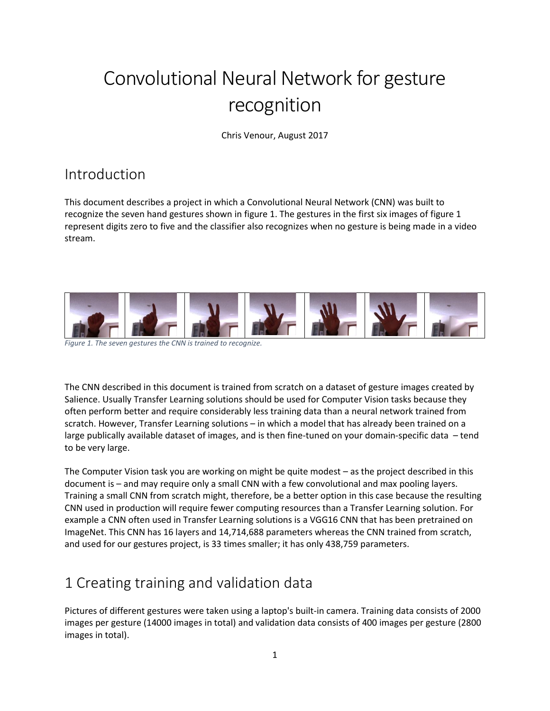# Convolutional Neural Network for gesture recognition

Chris Venour, August 2017

### Introduction

This document describes a project in which a Convolutional Neural Network (CNN) was built to recognize the seven hand gestures shown in figure 1. The gestures in the first six images of figure 1 represent digits zero to five and the classifier also recognizes when no gesture is being made in a video stream.



*Figure 1. The seven gestures the CNN is trained to recognize.*

The CNN described in this document is trained from scratch on a dataset of gesture images created by Salience. Usually Transfer Learning solutions should be used for Computer Vision tasks because they often perform better and require considerably less training data than a neural network trained from scratch. However, Transfer Learning solutions – in which a model that has already been trained on a large publically available dataset of images, and is then fine-tuned on your domain-specific data – tend to be very large.

The Computer Vision task you are working on might be quite modest – as the project described in this document is – and may require only a small CNN with a few convolutional and max pooling layers. Training a small CNN from scratch might, therefore, be a better option in this case because the resulting CNN used in production will require fewer computing resources than a Transfer Learning solution. For example a CNN often used in Transfer Learning solutions is a VGG16 CNN that has been pretrained on ImageNet. This CNN has 16 layers and 14,714,688 parameters whereas the CNN trained from scratch, and used for our gestures project, is 33 times smaller; it has only 438,759 parameters.

## 1 Creating training and validation data

Pictures of different gestures were taken using a laptop's built-in camera. Training data consists of 2000 images per gesture (14000 images in total) and validation data consists of 400 images per gesture (2800 images in total).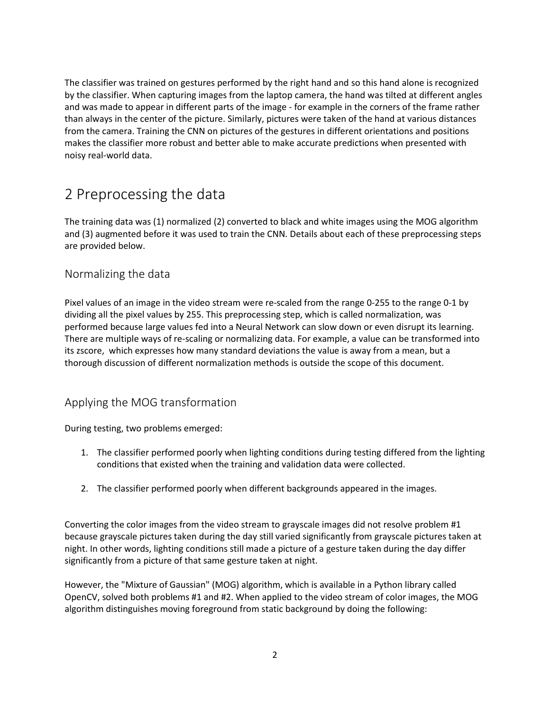The classifier was trained on gestures performed by the right hand and so this hand alone is recognized by the classifier. When capturing images from the laptop camera, the hand was tilted at different angles and was made to appear in different parts of the image - for example in the corners of the frame rather than always in the center of the picture. Similarly, pictures were taken of the hand at various distances from the camera. Training the CNN on pictures of the gestures in different orientations and positions makes the classifier more robust and better able to make accurate predictions when presented with noisy real-world data.

### 2 Preprocessing the data

The training data was (1) normalized (2) converted to black and white images using the MOG algorithm and (3) augmented before it was used to train the CNN. Details about each of these preprocessing steps are provided below.

#### Normalizing the data

Pixel values of an image in the video stream were re-scaled from the range 0-255 to the range 0-1 by dividing all the pixel values by 255. This preprocessing step, which is called normalization, was performed because large values fed into a Neural Network can slow down or even disrupt its learning. There are multiple ways of re-scaling or normalizing data. For example, a value can be transformed into its zscore, which expresses how many standard deviations the value is away from a mean, but a thorough discussion of different normalization methods is outside the scope of this document.

#### Applying the MOG transformation

During testing, two problems emerged:

- 1. The classifier performed poorly when lighting conditions during testing differed from the lighting conditions that existed when the training and validation data were collected.
- 2. The classifier performed poorly when different backgrounds appeared in the images.

Converting the color images from the video stream to grayscale images did not resolve problem #1 because grayscale pictures taken during the day still varied significantly from grayscale pictures taken at night. In other words, lighting conditions still made a picture of a gesture taken during the day differ significantly from a picture of that same gesture taken at night.

However, the "Mixture of Gaussian" (MOG) algorithm, which is available in a Python library called OpenCV, solved both problems #1 and #2. When applied to the video stream of color images, the MOG algorithm distinguishes moving foreground from static background by doing the following: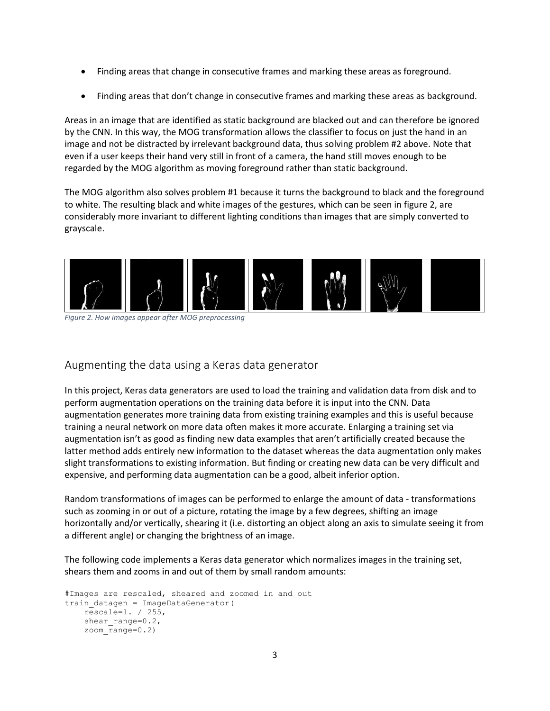- Finding areas that change in consecutive frames and marking these areas as foreground.
- Finding areas that don't change in consecutive frames and marking these areas as background.

Areas in an image that are identified as static background are blacked out and can therefore be ignored by the CNN. In this way, the MOG transformation allows the classifier to focus on just the hand in an image and not be distracted by irrelevant background data, thus solving problem #2 above. Note that even if a user keeps their hand very still in front of a camera, the hand still moves enough to be regarded by the MOG algorithm as moving foreground rather than static background.

The MOG algorithm also solves problem #1 because it turns the background to black and the foreground to white. The resulting black and white images of the gestures, which can be seen in figure 2, are considerably more invariant to different lighting conditions than images that are simply converted to grayscale.



*Figure 2. How images appear after MOG preprocessing*

#### Augmenting the data using a Keras data generator

In this project, Keras data generators are used to load the training and validation data from disk and to perform augmentation operations on the training data before it is input into the CNN. Data augmentation generates more training data from existing training examples and this is useful because training a neural network on more data often makes it more accurate. Enlarging a training set via augmentation isn't as good as finding new data examples that aren't artificially created because the latter method adds entirely new information to the dataset whereas the data augmentation only makes slight transformations to existing information. But finding or creating new data can be very difficult and expensive, and performing data augmentation can be a good, albeit inferior option.

Random transformations of images can be performed to enlarge the amount of data - transformations such as zooming in or out of a picture, rotating the image by a few degrees, shifting an image horizontally and/or vertically, shearing it (i.e. distorting an object along an axis to simulate seeing it from a different angle) or changing the brightness of an image.

The following code implements a Keras data generator which normalizes images in the training set, shears them and zooms in and out of them by small random amounts:

```
#Images are rescaled, sheared and zoomed in and out
train_datagen = ImageDataGenerator(
    rescale=1. / 255,
   shear range=0.2,
     zoom_range=0.2)
```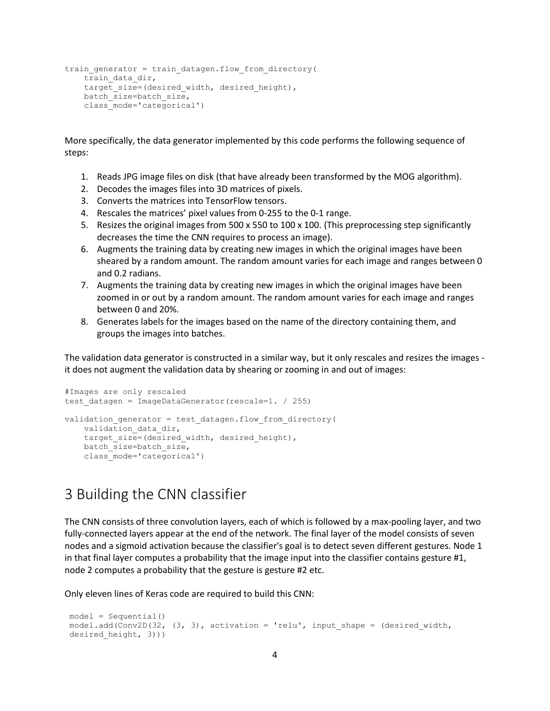```
train generator = train datagen.flow from directory(
   train data dir,
   target size=(desired width, desired height),
   batch size=batch size,
    class_mode='categorical')
```
More specifically, the data generator implemented by this code performs the following sequence of steps:

- 1. Reads JPG image files on disk (that have already been transformed by the MOG algorithm).
- 2. Decodes the images files into 3D matrices of pixels.
- 3. Converts the matrices into TensorFlow tensors.
- 4. Rescales the matrices' pixel values from 0-255 to the 0-1 range.
- 5. Resizes the original images from 500 x 550 to 100 x 100. (This preprocessing step significantly decreases the time the CNN requires to process an image).
- 6. Augments the training data by creating new images in which the original images have been sheared by a random amount. The random amount varies for each image and ranges between 0 and 0.2 radians.
- 7. Augments the training data by creating new images in which the original images have been zoomed in or out by a random amount. The random amount varies for each image and ranges between 0 and 20%.
- 8. Generates labels for the images based on the name of the directory containing them, and groups the images into batches.

The validation data generator is constructed in a similar way, but it only rescales and resizes the images it does not augment the validation data by shearing or zooming in and out of images:

```
#Images are only rescaled
test datagen = ImageDataGenerator(rescale=1. / 255)
validation generator = test datagen.flow from directory(
   validation data dir,
   target size=(desired width, desired height),
   batch size=batch size,
    class_mode='categorical')
```
### 3 Building the CNN classifier

The CNN consists of three convolution layers, each of which is followed by a max-pooling layer, and two fully-connected layers appear at the end of the network. The final layer of the model consists of seven nodes and a sigmoid activation because the classifier's goal is to detect seven different gestures. Node 1 in that final layer computes a probability that the image input into the classifier contains gesture #1, node 2 computes a probability that the gesture is gesture #2 etc.

Only eleven lines of Keras code are required to build this CNN:

```
model = Sequential()
model.add(Conv2D(32, (3, 3), activation = 'relu', input shape = (desired width,
desired height, 3)))
```